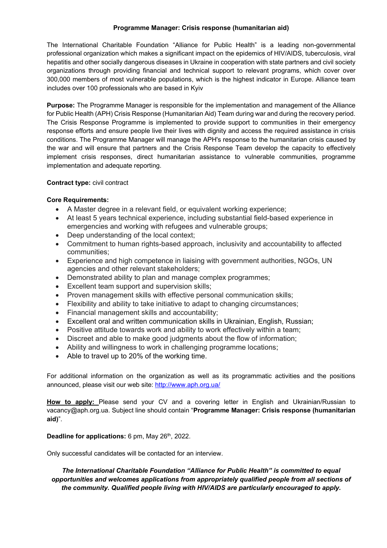#### **Programme Manager: Crisis response (humanitarian aid)**

The International Charitable Foundation "Alliance for Public Health" is a leading non-governmental professional organization which makes a significant impact on the epidemics of HIV/AIDS, tuberculosis, viral hepatitis and other socially dangerous diseases in Ukraine in cooperation with state partners and civil society organizations through providing financial and technical support to relevant programs, which cover over 300,000 members of most vulnerable populations, which is the highest indicator in Europe. Alliance team includes over 100 professionals who are based in Kyiv

**Purpose:** The Programme Manager is responsible for the implementation and management of the Alliance for Public Health (APH) Crisis Response (Humanitarian Aid) Team during war and during the recovery period. The Crisis Response Programme is implemented to provide support to communities in their emergency response efforts and ensure people live their lives with dignity and access the required assistance in crisis conditions. The Programme Manager will manage the APH's response to the humanitarian crisis caused by the war and will ensure that partners and the Crisis Response Team develop the capacity to effectively implement crisis responses, direct humanitarian assistance to vulnerable communities, programme implementation and adequate reporting.

### **Contract type:** civil contract

### **Core Requirements:**

- A Master degree in a relevant field, or equivalent working experience;
- At least 5 years technical experience, including substantial field-based experience in emergencies and working with refugees and vulnerable groups;
- Deep understanding of the local context;
- Commitment to human rights-based approach, inclusivity and accountability to affected communities;
- Experience and high competence in liaising with government authorities, NGOs, UN agencies and other relevant stakeholders;
- Demonstrated ability to plan and manage complex programmes;
- Excellent team support and supervision skills;
- Proven management skills with effective personal communication skills;
- Flexibility and ability to take initiative to adapt to changing circumstances;
- x Financial management skills and accountability;
- x Excellent oral and written communication skills in Ukrainian, English, Russian;
- Positive attitude towards work and ability to work effectively within a team;
- Discreet and able to make good judgments about the flow of information;
- Ability and willingness to work in challenging programme locations;
- Able to travel up to 20% of the working time.

For additional information on the organization as well as its programmatic activities and the positions announced, please visit our web site: http://www.aph.org.ua/

**How to apply:** Please send your CV and a covering letter in English and Ukrainian/Russian to vacancy@aph.org.ua. Subject line should contain "**Programme Manager: Crisis response (humanitarian aid)**".

## **Deadline for applications:** 6 pm, May 26<sup>th</sup>, 2022.

Only successful candidates will be contacted for an interview.

*The International Charitable Foundation "Alliance for Public Health" is committed to equal opportunities and welcomes applications from appropriately qualified people from all sections of the community. Qualified people living with HIV/AIDS are particularly encouraged to apply.*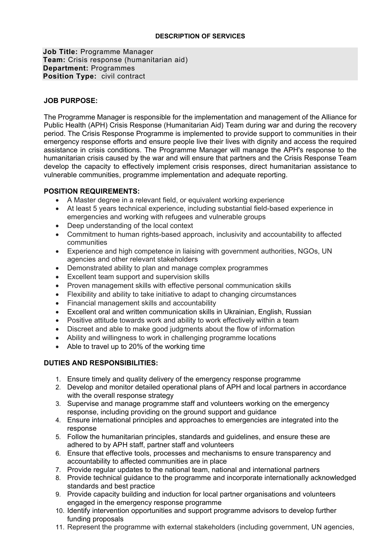## **DESCRIPTION OF SERVICES**

**Job Title:** Programme Manager **Team:** Crisis response (humanitarian aid) **Department:** Programmes **Position Type:** civil contract

# **JOB PURPOSE:**

The Programme Manager is responsible for the implementation and management of the Alliance for Public Health (APH) Crisis Response (Humanitarian Aid) Team during war and during the recovery period. The Crisis Response Programme is implemented to provide support to communities in their emergency response efforts and ensure people live their lives with dignity and access the required assistance in crisis conditions. The Programme Manager will manage the APH's response to the humanitarian crisis caused by the war and will ensure that partners and the Crisis Response Team develop the capacity to effectively implement crisis responses, direct humanitarian assistance to vulnerable communities, programme implementation and adequate reporting.

# **POSITION REQUIREMENTS:**

- A Master degree in a relevant field, or equivalent working experience
- At least 5 years technical experience, including substantial field-based experience in emergencies and working with refugees and vulnerable groups
- Deep understanding of the local context
- Commitment to human rights-based approach, inclusivity and accountability to affected communities
- Experience and high competence in liaising with government authorities, NGOs, UN agencies and other relevant stakeholders
- Demonstrated ability to plan and manage complex programmes
- Excellent team support and supervision skills
- Proven management skills with effective personal communication skills
- Flexibility and ability to take initiative to adapt to changing circumstances
- x Financial management skills and accountability
- Excellent oral and written communication skills in Ukrainian, English, Russian
- Positive attitude towards work and ability to work effectively within a team
- Discreet and able to make good judgments about the flow of information
- Ability and willingness to work in challenging programme locations
- $\bullet$  Able to travel up to 20% of the working time

# **DUTIES AND RESPONSIBILITIES:**

- 1. Ensure timely and quality delivery of the emergency response programme
- 2. Develop and monitor detailed operational plans of APH and local partners in accordance with the overall response strategy
- 3. Supervise and manage programme staff and volunteers working on the emergency response, including providing on the ground support and guidance
- 4. Ensure international principles and approaches to emergencies are integrated into the response
- 5. Follow the humanitarian principles, standards and guidelines, and ensure these are adhered to by APH staff, partner staff and volunteers
- 6. Ensure that effective tools, processes and mechanisms to ensure transparency and accountability to affected communities are in place
- 7. Provide regular updates to the national team, national and international partners
- 8. Provide technical guidance to the programme and incorporate internationally acknowledged standards and best practice
- 9. Provide capacity building and induction for local partner organisations and volunteers engaged in the emergency response programme
- 10. Identify intervention opportunities and support programme advisors to develop further funding proposals
- 11. Represent the programme with external stakeholders (including government, UN agencies,